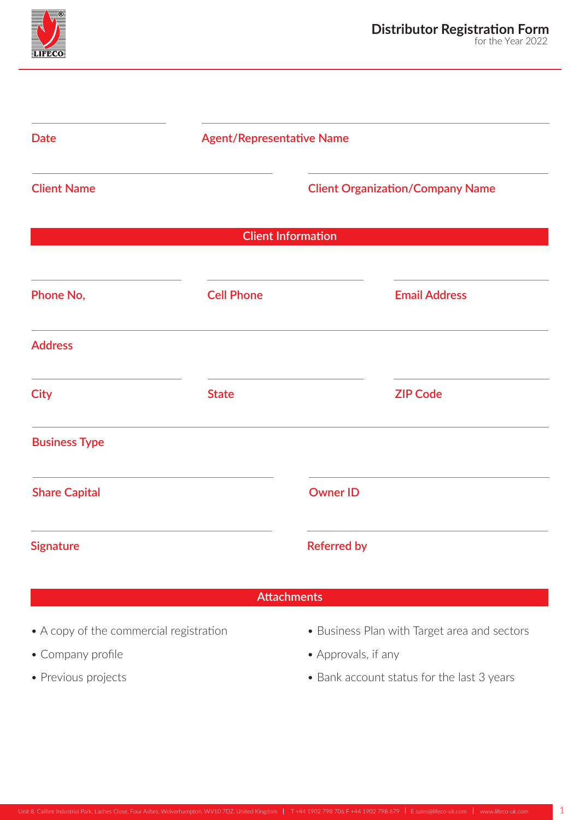

| <b>Date</b>          |                   | <b>Agent/Representative Name</b>        |                      |
|----------------------|-------------------|-----------------------------------------|----------------------|
| <b>Client Name</b>   |                   | <b>Client Organization/Company Name</b> |                      |
|                      |                   | <b>Client Information</b>               |                      |
| Phone No,            | <b>Cell Phone</b> |                                         | <b>Email Address</b> |
| <b>Address</b>       |                   |                                         |                      |
| <b>City</b>          | <b>State</b>      |                                         | <b>ZIP Code</b>      |
| <b>Business Type</b> |                   |                                         |                      |
| <b>Share Capital</b> |                   | <b>Owner ID</b>                         |                      |
| <b>Signature</b>     |                   | <b>Referred by</b>                      |                      |

## **Attachments**

- A copy of the commercial registration
- Company profile
- Previous projects
- Business Plan with Target area and sectors
- Approvals, if any
- Bank account status for the last 3 years